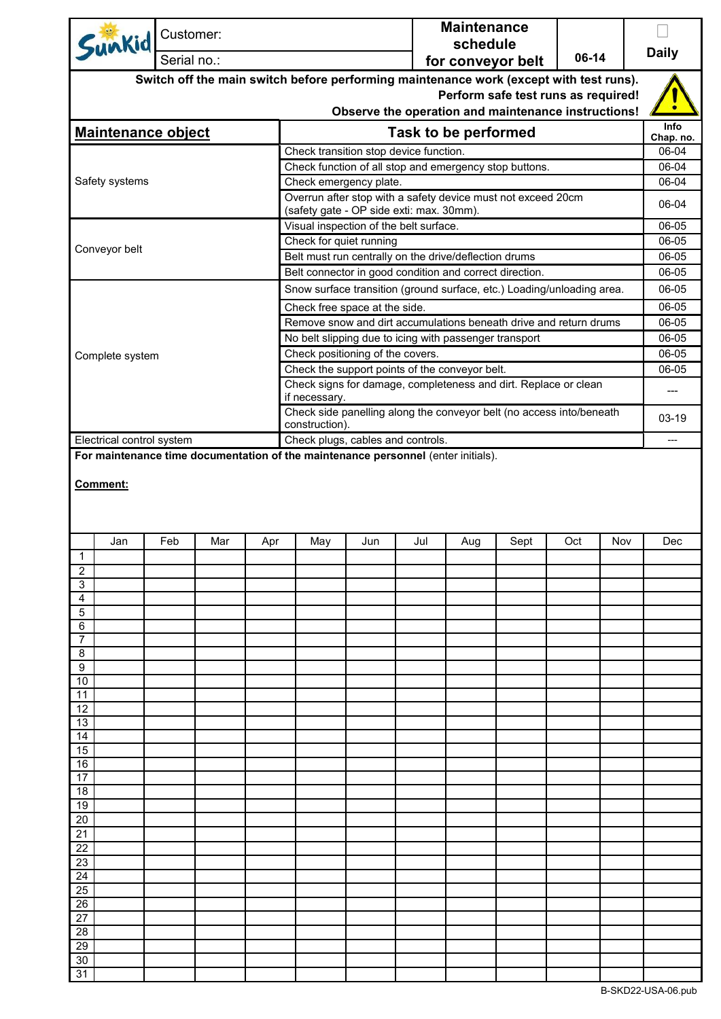| Sunkid                                                                           |                                                                                        | Customer: |                            |     |                                                                      |     |                                          | <b>Maintenance</b><br>schedule |                                                         |                                                                        |     |         |                |
|----------------------------------------------------------------------------------|----------------------------------------------------------------------------------------|-----------|----------------------------|-----|----------------------------------------------------------------------|-----|------------------------------------------|--------------------------------|---------------------------------------------------------|------------------------------------------------------------------------|-----|---------|----------------|
| Serial no.:                                                                      |                                                                                        |           | 06-14<br>for conveyor belt |     |                                                                      |     |                                          |                                | <b>Daily</b>                                            |                                                                        |     |         |                |
|                                                                                  | Switch off the main switch before performing maintenance work (except with test runs). |           |                            |     |                                                                      |     |                                          |                                |                                                         |                                                                        |     |         |                |
| Perform safe test runs as required!                                              |                                                                                        |           |                            |     |                                                                      |     |                                          |                                |                                                         |                                                                        |     |         |                |
|                                                                                  |                                                                                        |           |                            |     |                                                                      |     |                                          |                                |                                                         | Observe the operation and maintenance instructions!                    |     |         | Info           |
| <b>Maintenance object</b>                                                        |                                                                                        |           |                            |     |                                                                      |     |                                          |                                | Task to be performed                                    |                                                                        |     |         | Chap. no.      |
|                                                                                  |                                                                                        |           |                            |     |                                                                      |     | Check transition stop device function.   |                                |                                                         |                                                                        |     |         | 06-04          |
|                                                                                  |                                                                                        |           |                            |     |                                                                      |     |                                          |                                |                                                         | Check function of all stop and emergency stop buttons.                 |     |         | 06-04          |
| Safety systems                                                                   |                                                                                        |           |                            |     |                                                                      |     | Check emergency plate.                   |                                |                                                         |                                                                        |     |         | 06-04          |
|                                                                                  |                                                                                        |           |                            |     |                                                                      |     | (safety gate - OP side exti: max. 30mm). |                                |                                                         | Overrun after stop with a safety device must not exceed 20cm           |     |         | 06-04          |
|                                                                                  |                                                                                        |           |                            |     |                                                                      |     |                                          |                                |                                                         |                                                                        |     |         | 06-05          |
| Conveyor belt                                                                    |                                                                                        |           |                            |     | Visual inspection of the belt surface.<br>Check for quiet running    |     |                                          |                                |                                                         |                                                                        |     |         | 06-05          |
|                                                                                  |                                                                                        |           |                            |     |                                                                      |     |                                          |                                | Belt must run centrally on the drive/deflection drums   |                                                                        |     |         | 06-05          |
|                                                                                  |                                                                                        |           |                            |     |                                                                      |     |                                          |                                | Belt connector in good condition and correct direction. |                                                                        |     |         | 06-05          |
|                                                                                  |                                                                                        |           |                            |     |                                                                      |     |                                          |                                |                                                         | Snow surface transition (ground surface, etc.) Loading/unloading area. |     |         | 06-05          |
|                                                                                  |                                                                                        |           |                            |     |                                                                      |     | Check free space at the side.            |                                |                                                         |                                                                        |     |         | 06-05          |
|                                                                                  |                                                                                        |           |                            |     |                                                                      |     |                                          |                                |                                                         | Remove snow and dirt accumulations beneath drive and return drums      |     |         | 06-05          |
|                                                                                  |                                                                                        |           |                            |     |                                                                      |     | Check positioning of the covers.         |                                | No belt slipping due to icing with passenger transport  |                                                                        |     |         | 06-05<br>06-05 |
| Complete system                                                                  |                                                                                        |           |                            |     |                                                                      |     |                                          |                                | Check the support points of the conveyor belt.          |                                                                        |     |         | 06-05          |
|                                                                                  |                                                                                        |           |                            |     |                                                                      |     |                                          |                                |                                                         |                                                                        |     |         |                |
| Check signs for damage, completeness and dirt. Replace or clean<br>if necessary. |                                                                                        |           |                            |     |                                                                      |     |                                          |                                | $---$                                                   |                                                                        |     |         |                |
|                                                                                  |                                                                                        |           |                            |     | Check side panelling along the conveyor belt (no access into/beneath |     |                                          |                                |                                                         |                                                                        |     | $03-19$ |                |
|                                                                                  | construction).<br>Check plugs, cables and controls.<br>Electrical control system       |           |                            |     |                                                                      |     |                                          | ---                            |                                                         |                                                                        |     |         |                |
|                                                                                  | For maintenance time documentation of the maintenance personnel (enter initials).      |           |                            |     |                                                                      |     |                                          |                                |                                                         |                                                                        |     |         |                |
|                                                                                  |                                                                                        |           |                            |     |                                                                      |     |                                          |                                |                                                         |                                                                        |     |         |                |
| Comment:                                                                         |                                                                                        |           |                            |     |                                                                      |     |                                          |                                |                                                         |                                                                        |     |         |                |
|                                                                                  |                                                                                        |           |                            |     |                                                                      |     |                                          |                                |                                                         |                                                                        |     |         |                |
|                                                                                  |                                                                                        |           |                            |     |                                                                      |     |                                          |                                |                                                         |                                                                        |     |         |                |
| Jan                                                                              |                                                                                        | Feb       | Mar                        | Apr |                                                                      | May | Jun                                      | Jul                            | Aug                                                     | Sept                                                                   | Oct | Nov     | Dec            |
| $\overline{1}$                                                                   |                                                                                        |           |                            |     |                                                                      |     |                                          |                                |                                                         |                                                                        |     |         |                |
| $\overline{c}$<br>3                                                              |                                                                                        |           |                            |     |                                                                      |     |                                          |                                |                                                         |                                                                        |     |         |                |
| 4                                                                                |                                                                                        |           |                            |     |                                                                      |     |                                          |                                |                                                         |                                                                        |     |         |                |
| 5                                                                                |                                                                                        |           |                            |     |                                                                      |     |                                          |                                |                                                         |                                                                        |     |         |                |
| 6                                                                                |                                                                                        |           |                            |     |                                                                      |     |                                          |                                |                                                         |                                                                        |     |         |                |
| 7<br>8                                                                           |                                                                                        |           |                            |     |                                                                      |     |                                          |                                |                                                         |                                                                        |     |         |                |
| 9                                                                                |                                                                                        |           |                            |     |                                                                      |     |                                          |                                |                                                         |                                                                        |     |         |                |
| 10                                                                               |                                                                                        |           |                            |     |                                                                      |     |                                          |                                |                                                         |                                                                        |     |         |                |
| 11                                                                               |                                                                                        |           |                            |     |                                                                      |     |                                          |                                |                                                         |                                                                        |     |         |                |
| 12<br>13                                                                         |                                                                                        |           |                            |     |                                                                      |     |                                          |                                |                                                         |                                                                        |     |         |                |
| 14                                                                               |                                                                                        |           |                            |     |                                                                      |     |                                          |                                |                                                         |                                                                        |     |         |                |
| 15                                                                               |                                                                                        |           |                            |     |                                                                      |     |                                          |                                |                                                         |                                                                        |     |         |                |
| 16                                                                               |                                                                                        |           |                            |     |                                                                      |     |                                          |                                |                                                         |                                                                        |     |         |                |
| 17<br>18                                                                         |                                                                                        |           |                            |     |                                                                      |     |                                          |                                |                                                         |                                                                        |     |         |                |
| 19                                                                               |                                                                                        |           |                            |     |                                                                      |     |                                          |                                |                                                         |                                                                        |     |         |                |
| 20                                                                               |                                                                                        |           |                            |     |                                                                      |     |                                          |                                |                                                         |                                                                        |     |         |                |
| 21                                                                               |                                                                                        |           |                            |     |                                                                      |     |                                          |                                |                                                         |                                                                        |     |         |                |
| 22<br>23                                                                         |                                                                                        |           |                            |     |                                                                      |     |                                          |                                |                                                         |                                                                        |     |         |                |
| 24                                                                               |                                                                                        |           |                            |     |                                                                      |     |                                          |                                |                                                         |                                                                        |     |         |                |
| 25                                                                               |                                                                                        |           |                            |     |                                                                      |     |                                          |                                |                                                         |                                                                        |     |         |                |
| 26                                                                               |                                                                                        |           |                            |     |                                                                      |     |                                          |                                |                                                         |                                                                        |     |         |                |
| 27<br>28                                                                         |                                                                                        |           |                            |     |                                                                      |     |                                          |                                |                                                         |                                                                        |     |         |                |
| 29                                                                               |                                                                                        |           |                            |     |                                                                      |     |                                          |                                |                                                         |                                                                        |     |         |                |
| 30                                                                               |                                                                                        |           |                            |     |                                                                      |     |                                          |                                |                                                         |                                                                        |     |         |                |
| 31                                                                               |                                                                                        |           |                            |     |                                                                      |     |                                          |                                |                                                         |                                                                        |     |         |                |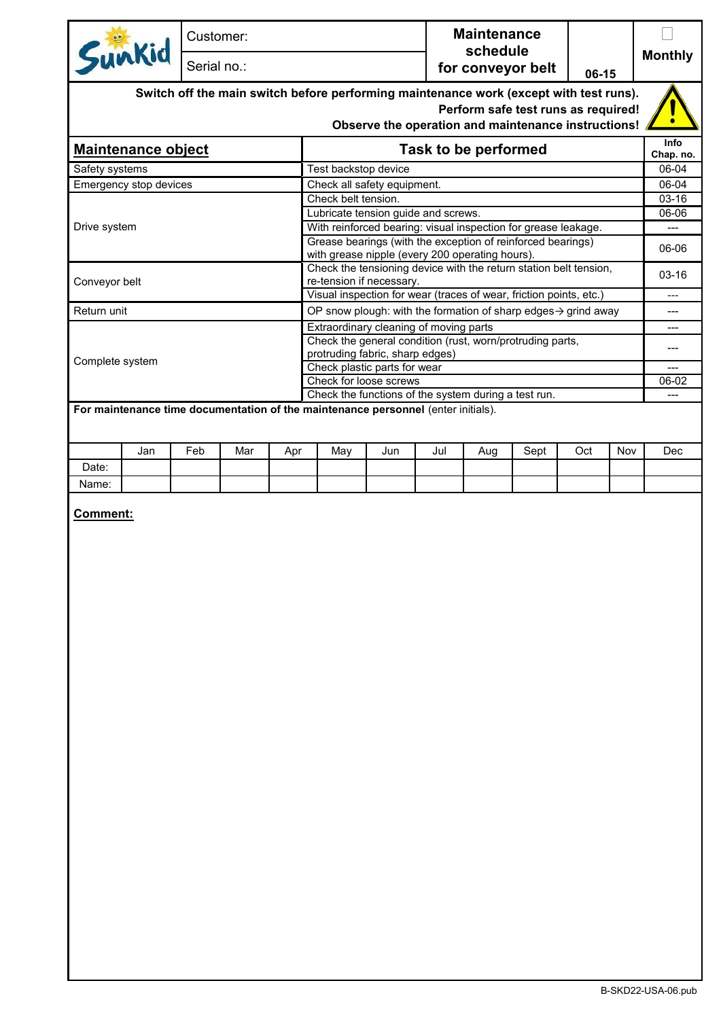|                           | Customer: |                            |     |                                                                                |                                                                                                                      | <b>Maintenance</b><br>schedule |                      |                                     |     |     |                   |
|---------------------------|-----------|----------------------------|-----|--------------------------------------------------------------------------------|----------------------------------------------------------------------------------------------------------------------|--------------------------------|----------------------|-------------------------------------|-----|-----|-------------------|
| Sunkid                    |           | for conveyor belt<br>06-15 |     |                                                                                |                                                                                                                      |                                |                      | <b>Monthly</b>                      |     |     |                   |
|                           |           |                            |     |                                                                                | Switch off the main switch before performing maintenance work (except with test runs).                               |                                |                      | Perform safe test runs as required! |     |     |                   |
|                           |           |                            |     |                                                                                | Observe the operation and maintenance instructions!                                                                  |                                |                      |                                     |     |     |                   |
| <b>Maintenance object</b> |           |                            |     |                                                                                |                                                                                                                      |                                | Task to be performed |                                     |     |     | Info<br>Chap. no. |
| Safety systems            |           |                            |     | Test backstop device                                                           |                                                                                                                      |                                |                      |                                     |     |     | 06-04             |
| Emergency stop devices    |           |                            |     |                                                                                | Check all safety equipment.                                                                                          |                                |                      |                                     |     |     | 06-04             |
|                           |           |                            |     | Check belt tension.                                                            |                                                                                                                      |                                |                      |                                     |     |     | 03-16             |
|                           |           |                            |     |                                                                                | Lubricate tension guide and screws.                                                                                  |                                |                      |                                     |     |     | 06-06             |
| Drive system              |           |                            |     |                                                                                | With reinforced bearing: visual inspection for grease leakage.                                                       |                                |                      |                                     |     |     | ---               |
|                           |           |                            |     |                                                                                | Grease bearings (with the exception of reinforced bearings)                                                          |                                |                      |                                     |     |     | 06-06             |
|                           |           |                            |     |                                                                                | with grease nipple (every 200 operating hours).<br>Check the tensioning device with the return station belt tension, |                                |                      |                                     |     |     |                   |
| Conveyor belt             |           |                            |     |                                                                                | re-tension if necessary.                                                                                             |                                |                      |                                     |     |     | $03 - 16$         |
|                           |           |                            |     |                                                                                | Visual inspection for wear (traces of wear, friction points, etc.)                                                   |                                |                      |                                     |     |     | $---$             |
| Return unit               |           |                            |     |                                                                                | OP snow plough: with the formation of sharp edges $\rightarrow$ grind away                                           |                                |                      |                                     |     |     | ---               |
|                           |           |                            |     |                                                                                | Extraordinary cleaning of moving parts                                                                               |                                |                      |                                     |     |     | ---               |
|                           |           |                            |     |                                                                                | Check the general condition (rust, worn/protruding parts,                                                            |                                |                      |                                     |     |     | ---               |
| Complete system           |           |                            |     |                                                                                | protruding fabric, sharp edges)                                                                                      |                                |                      |                                     |     |     |                   |
|                           |           |                            |     |                                                                                | Check plastic parts for wear                                                                                         |                                |                      |                                     |     |     | 06-02             |
|                           |           |                            |     | Check for loose screws<br>Check the functions of the system during a test run. |                                                                                                                      |                                |                      |                                     |     |     | $\overline{a}$    |
| Jan<br>Date:              | Feb       | Mar                        | Apr | May                                                                            | Jun                                                                                                                  | Jul                            | Aug                  | Sept                                | Oct | Nov | Dec               |
| Name:                     |           |                            |     |                                                                                |                                                                                                                      |                                |                      |                                     |     |     |                   |
|                           |           |                            |     |                                                                                |                                                                                                                      |                                |                      |                                     |     |     |                   |